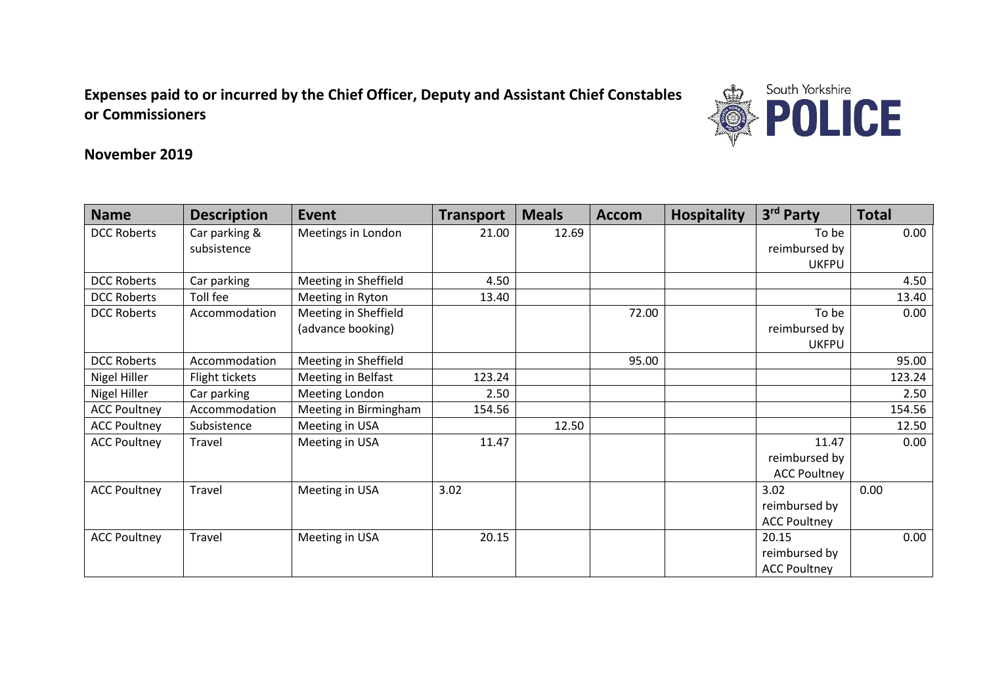**Expenses paid to or incurred by the Chief Officer, Deputy and Assistant Chief Constables or Commissioners** 



## **November 2019**

| <b>Name</b>         | <b>Description</b> | <b>Event</b>          | <b>Transport</b> | <b>Meals</b> | <b>Accom</b> | <b>Hospitality</b> | 3rd Party           | <b>Total</b> |
|---------------------|--------------------|-----------------------|------------------|--------------|--------------|--------------------|---------------------|--------------|
| <b>DCC Roberts</b>  | Car parking &      | Meetings in London    | 21.00            | 12.69        |              |                    | To be               | 0.00         |
|                     | subsistence        |                       |                  |              |              |                    | reimbursed by       |              |
|                     |                    |                       |                  |              |              |                    | <b>UKFPU</b>        |              |
| <b>DCC Roberts</b>  | Car parking        | Meeting in Sheffield  | 4.50             |              |              |                    |                     | 4.50         |
| <b>DCC Roberts</b>  | Toll fee           | Meeting in Ryton      | 13.40            |              |              |                    |                     | 13.40        |
| <b>DCC Roberts</b>  | Accommodation      | Meeting in Sheffield  |                  |              | 72.00        |                    | To be               | 0.00         |
|                     |                    | (advance booking)     |                  |              |              |                    | reimbursed by       |              |
|                     |                    |                       |                  |              |              |                    | <b>UKFPU</b>        |              |
| <b>DCC Roberts</b>  | Accommodation      | Meeting in Sheffield  |                  |              | 95.00        |                    |                     | 95.00        |
| Nigel Hiller        | Flight tickets     | Meeting in Belfast    | 123.24           |              |              |                    |                     | 123.24       |
| Nigel Hiller        | Car parking        | Meeting London        | 2.50             |              |              |                    |                     | 2.50         |
| <b>ACC Poultney</b> | Accommodation      | Meeting in Birmingham | 154.56           |              |              |                    |                     | 154.56       |
| <b>ACC Poultney</b> | Subsistence        | Meeting in USA        |                  | 12.50        |              |                    |                     | 12.50        |
| <b>ACC Poultney</b> | Travel             | Meeting in USA        | 11.47            |              |              |                    | 11.47               | 0.00         |
|                     |                    |                       |                  |              |              |                    | reimbursed by       |              |
|                     |                    |                       |                  |              |              |                    | <b>ACC Poultney</b> |              |
| <b>ACC Poultney</b> | Travel             | Meeting in USA        | 3.02             |              |              |                    | 3.02                | 0.00         |
|                     |                    |                       |                  |              |              |                    | reimbursed by       |              |
|                     |                    |                       |                  |              |              |                    | <b>ACC Poultney</b> |              |
| <b>ACC Poultney</b> | Travel             | Meeting in USA        | 20.15            |              |              |                    | 20.15               | 0.00         |
|                     |                    |                       |                  |              |              |                    | reimbursed by       |              |
|                     |                    |                       |                  |              |              |                    | <b>ACC Poultney</b> |              |